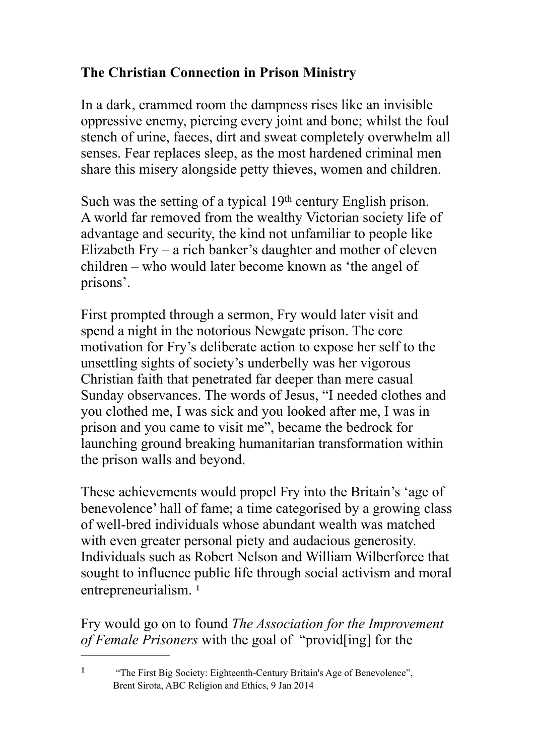## **The Christian Connection in Prison Ministry**

In a dark, crammed room the dampness rises like an invisible oppressive enemy, piercing every joint and bone; whilst the foul stench of urine, faeces, dirt and sweat completely overwhelm all senses. Fear replaces sleep, as the most hardened criminal men share this misery alongside petty thieves, women and children.

Such was the setting of a typical 19<sup>th</sup> century English prison. A world far removed from the wealthy Victorian society life of advantage and security, the kind not unfamiliar to people like Elizabeth Fry – a rich banker's daughter and mother of eleven children – who would later become known as 'the angel of prisons'.

First prompted through a sermon, Fry would later visit and spend a night in the notorious Newgate prison. The core motivation for Fry's deliberate action to expose her self to the unsettling sights of society's underbelly was her vigorous Christian faith that penetrated far deeper than mere casual Sunday observances. The words of Jesus, "I needed clothes and you clothed me, I was sick and you looked after me, I was in prison and you came to visit me", became the bedrock for launching ground breaking humanitarian transformation within the prison walls and beyond.

These achievements would propel Fry into the Britain's 'age of benevolence' hall of fame; a time categorised by a growing class of well-bred individuals whose abundant wealth was matched with even greater personal piety and audacious generosity. Individuals such as Robert Nelson and William Wilberforce that sought to influence public life through social activism and moral entrepreneurialism.<sup>[1](#page-0-0)</sup>

<span id="page-0-1"></span>Fry would go on to found *The Association for the Improvement of Female Prisoners* with the goal of "provid[ing] for the

<span id="page-0-0"></span><sup>[1](#page-0-1)</sup> "The First Big Society: Eighteenth-Century Britain's Age of Benevolence", Brent Sirota, ABC Religion and Ethics, 9 Jan 2014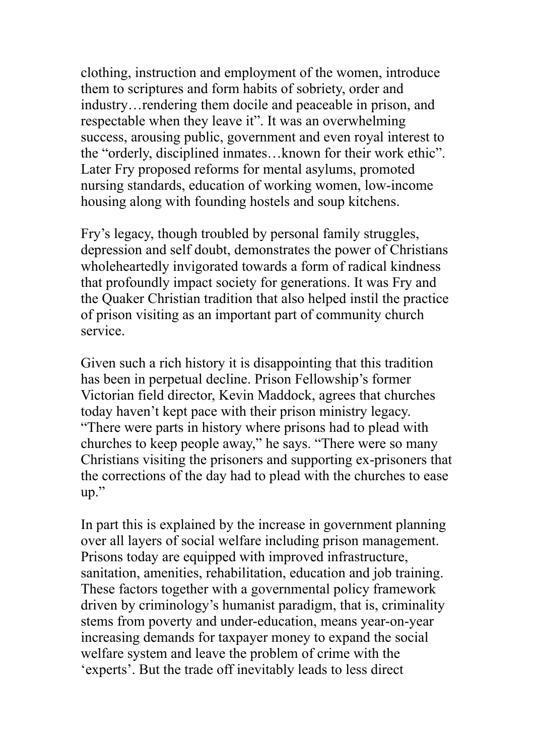clothing, instruction and employment of the women, introduce them to scriptures and form habits of sobriety, order and industry…rendering them docile and peaceable in prison, and respectable when they leave it". It was an overwhelming success, arousing public, government and even royal interest to the "orderly, disciplined inmates…known for their work ethic". Later Fry proposed reforms for mental asylums, promoted nursing standards, education of working women, low-income housing along with founding hostels and soup kitchens.

Fry's legacy, though troubled by personal family struggles, depression and self doubt, demonstrates the power of Christians wholeheartedly invigorated towards a form of radical kindness that profoundly impact society for generations. It was Fry and the Quaker Christian tradition that also helped instil the practice of prison visiting as an important part of community church service.

Given such a rich history it is disappointing that this tradition has been in perpetual decline. Prison Fellowship's former Victorian field director, Kevin Maddock, agrees that churches today haven't kept pace with their prison ministry legacy. "There were parts in history where prisons had to plead with churches to keep people away," he says. "There were so many Christians visiting the prisoners and supporting ex-prisoners that the corrections of the day had to plead with the churches to ease up."

In part this is explained by the increase in government planning over all layers of social welfare including prison management. Prisons today are equipped with improved infrastructure, sanitation, amenities, rehabilitation, education and job training. These factors together with a governmental policy framework driven by criminology's humanist paradigm, that is, criminality stems from poverty and under-education, means year-on-year increasing demands for taxpayer money to expand the social welfare system and leave the problem of crime with the 'experts'. But the trade off inevitably leads to less direct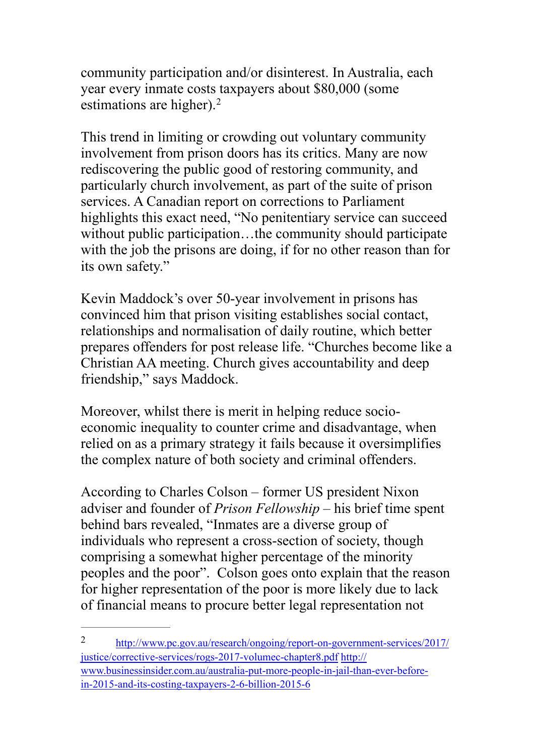community participation and/or disinterest. In Australia, each year every inmate costs taxpayers about \$80,000 (some estimations are higher).<sup>[2](#page-2-0)</sup>

<span id="page-2-1"></span>This trend in limiting or crowding out voluntary community involvement from prison doors has its critics. Many are now rediscovering the public good of restoring community, and particularly church involvement, as part of the suite of prison services. A Canadian report on corrections to Parliament highlights this exact need, "No penitentiary service can succeed without public participation...the community should participate with the job the prisons are doing, if for no other reason than for its own safety."

Kevin Maddock's over 50-year involvement in prisons has convinced him that prison visiting establishes social contact, relationships and normalisation of daily routine, which better prepares offenders for post release life. "Churches become like a Christian AA meeting. Church gives accountability and deep friendship," says Maddock.

Moreover, whilst there is merit in helping reduce socioeconomic inequality to counter crime and disadvantage, when relied on as a primary strategy it fails because it oversimplifies the complex nature of both society and criminal offenders.

According to Charles Colson – former US president Nixon adviser and founder of *Prison Fellowship* – his brief time spent behind bars revealed, "Inmates are a diverse group of individuals who represent a cross-section of society, though comprising a somewhat higher percentage of the minority peoples and the poor". Colson goes onto explain that the reason for higher representation of the poor is more likely due to lack of financial means to procure better legal representation not

<span id="page-2-0"></span>[http://www.pc.gov.au/research/ongoing/report-on-government-services/2017/](http://www.pc.gov.au/research/ongoing/report-on-government-services/2017/justice/corrective-services/rogs-2017-volumec-chapter8.pdf) [2](#page-2-1) justice/corrective-services/rogs-2017-volumec-chapter8.pdf http:// [www.businessinsider.com.au/australia-put-more-people-in-jail-than-ever-before](http://www.businessinsider.com.au/australia-put-more-people-in-jail-than-ever-before-in-2015-and-its-costing-taxpayers-2-6-billion-2015-6)in-2015-and-its-costing-taxpayers-2-6-billion-2015-6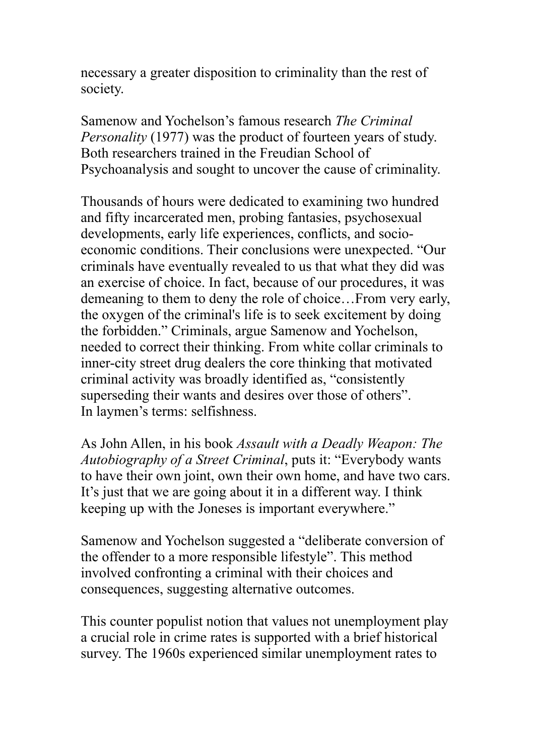necessary a greater disposition to criminality than the rest of society.

Samenow and Yochelson's famous research *The Criminal Personality* (1977) was the product of fourteen years of study. Both researchers trained in the Freudian School of Psychoanalysis and sought to uncover the cause of criminality.

Thousands of hours were dedicated to examining two hundred and fifty incarcerated men, probing fantasies, psychosexual developments, early life experiences, conflicts, and socioeconomic conditions. Their conclusions were unexpected. "Our criminals have eventually revealed to us that what they did was an exercise of choice. In fact, because of our procedures, it was demeaning to them to deny the role of choice…From very early, the oxygen of the criminal's life is to seek excitement by doing the forbidden." Criminals, argue Samenow and Yochelson, needed to correct their thinking. From white collar criminals to inner-city street drug dealers the core thinking that motivated criminal activity was broadly identified as, "consistently superseding their wants and desires over those of others". In laymen's terms: selfishness.

As John Allen, in his book *Assault with a Deadly Weapon: The Autobiography of a Street Criminal*, puts it: "Everybody wants to have their own joint, own their own home, and have two cars. It's just that we are going about it in a different way. I think keeping up with the Joneses is important everywhere."

Samenow and Yochelson suggested a "deliberate conversion of the offender to a more responsible lifestyle". This method involved confronting a criminal with their choices and consequences, suggesting alternative outcomes.

This counter populist notion that values not unemployment play a crucial role in crime rates is supported with a brief historical survey. The 1960s experienced similar unemployment rates to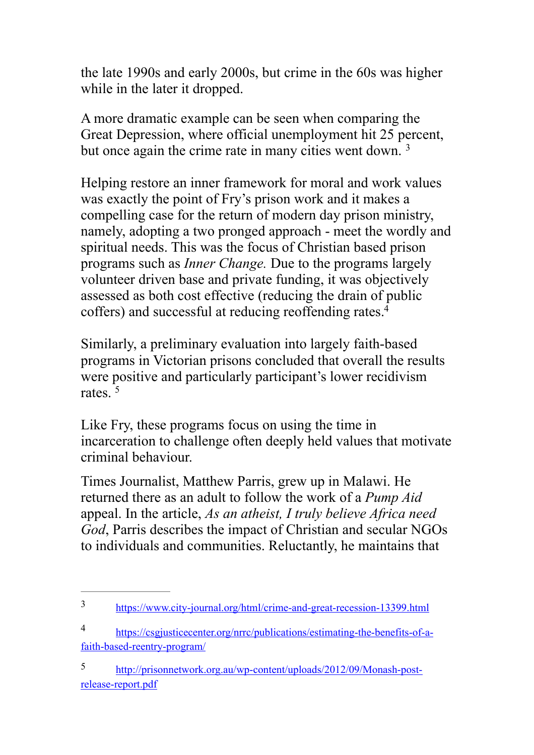the late 1990s and early 2000s, but crime in the 60s was higher while in the later it dropped.

A more dramatic example can be seen when comparing the Great Depression, where official unemployment hit 25 percent, but once again the crime rate in many cities went down. [3](#page-4-0)

<span id="page-4-3"></span>Helping restore an inner framework for moral and work values was exactly the point of Fry's prison work and it makes a compelling case for the return of modern day prison ministry, namely, adopting a two pronged approach - meet the wordly and spiritual needs. This was the focus of Christian based prison programs such as *Inner Change.* Due to the programs largely volunteer driven base and private funding, it was objectively assessed as both cost effective (reducing the drain of public coffers) and successful at reducing reoffending rates[. 4](#page-4-1)

<span id="page-4-4"></span>Similarly, a preliminary evaluation into largely faith-based programs in Victorian prisons concluded that overall the results were positive and particularly participant's lower recidivism rates  $5$ 

<span id="page-4-5"></span>Like Fry, these programs focus on using the time in incarceration to challenge often deeply held values that motivate criminal behaviour.

Times Journalist, Matthew Parris, grew up in Malawi. He returned there as an adult to follow the work of a *Pump Aid* appeal. In the article, *As an atheist, I truly believe Africa need God*, Parris describes the impact of Christian and secular NGOs to individuals and communities. Reluctantly, he maintains that

<span id="page-4-0"></span><https://www.city-journal.org/html/crime-and-great-recession-13399.html> [3](#page-4-3)

<span id="page-4-1"></span>[https://csgjusticecenter.org/nrrc/publications/estimating-the-benefits-of-a-](https://csgjusticecenter.org/nrrc/publications/estimating-the-benefits-of-a-faith-based-reentry-program/) [4](#page-4-4) faith-based-reentry-program/

<span id="page-4-2"></span>[http://prisonnetwork.org.au/wp-content/uploads/2012/09/Monash-post-](http://prisonnetwork.org.au/wp-content/uploads/2012/09/Monash-post-release-report.pdf) [5](#page-4-5) release-report.pdf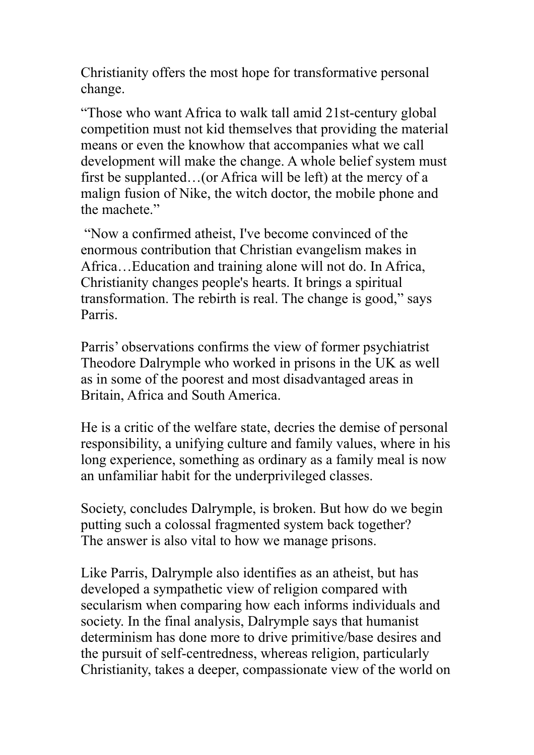Christianity offers the most hope for transformative personal change.

"Those who want Africa to walk tall amid 21st-century global competition must not kid themselves that providing the material means or even the knowhow that accompanies what we call development will make the change. A whole belief system must first be supplanted…(or Africa will be left) at the mercy of a malign fusion of Nike, the witch doctor, the mobile phone and the machete."

 "Now a confirmed atheist, I've become convinced of the enormous contribution that Christian evangelism makes in Africa…Education and training alone will not do. In Africa, Christianity changes people's hearts. It brings a spiritual transformation. The rebirth is real. The change is good," says Parris.

Parris' observations confirms the view of former psychiatrist Theodore Dalrymple who worked in prisons in the UK as well as in some of the poorest and most disadvantaged areas in Britain, Africa and South America.

He is a critic of the welfare state, decries the demise of personal responsibility, a unifying culture and family values, where in his long experience, something as ordinary as a family meal is now an unfamiliar habit for the underprivileged classes.

Society, concludes Dalrymple, is broken. But how do we begin putting such a colossal fragmented system back together? The answer is also vital to how we manage prisons.

Like Parris, Dalrymple also identifies as an atheist, but has developed a sympathetic view of religion compared with secularism when comparing how each informs individuals and society. In the final analysis, Dalrymple says that humanist determinism has done more to drive primitive/base desires and the pursuit of self-centredness, whereas religion, particularly Christianity, takes a deeper, compassionate view of the world on